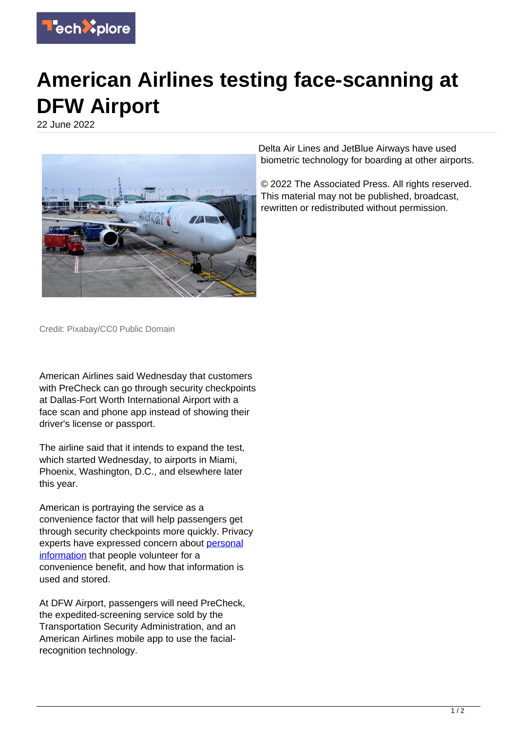

## **American Airlines testing face-scanning at DFW Airport**

22 June 2022



Delta Air Lines and JetBlue Airways have used biometric technology for boarding at other airports.

© 2022 The Associated Press. All rights reserved. This material may not be published, broadcast, rewritten or redistributed without permission.

Credit: Pixabay/CC0 Public Domain

American Airlines said Wednesday that customers with PreCheck can go through security checkpoints at Dallas-Fort Worth International Airport with a face scan and phone app instead of showing their driver's license or passport.

The airline said that it intends to expand the test, which started Wednesday, to airports in Miami, Phoenix, Washington, D.C., and elsewhere later this year.

American is portraying the service as a convenience factor that will help passengers get through security checkpoints more quickly. Privacy experts have expressed concern about [personal](https://techxplore.com/tags/personal+information/) [information](https://techxplore.com/tags/personal+information/) that people volunteer for a convenience benefit, and how that information is used and stored.

At DFW Airport, passengers will need PreCheck, the expedited-screening service sold by the Transportation Security Administration, and an American Airlines mobile app to use the facialrecognition technology.